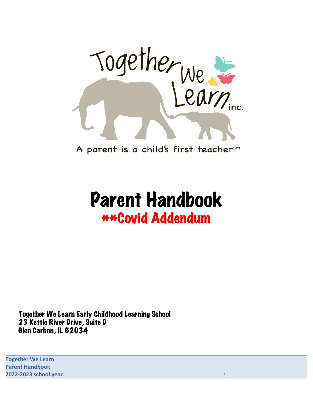

A parent is a child's first teachersm

# Parent Handbook \*\*Covid Addendum

Together We Learn Early Childhood Learning School 23 Kettle River Drive, Suite D Glen Carbon, IL 62034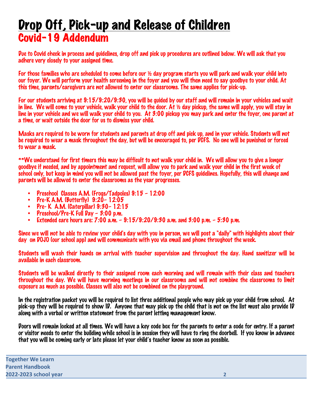# Drop Off, Pick-up and Release of Children Covid-19 Addendum

Due to Covid check in process and guidelines, drop off and pick up procedures are outlined below. We will ask that you adhere very closely to your assigned time.

For those families who are scheduled to come before our ½ day program starts you will park and walk your child into our foyer. We will perform your health screening in the foyer and you will then need to say goodbye to your child. At this time, parents/caregivers are not allowed to enter our classrooms. The same applies for pick-up.

For our students arriving at 9:15/9:20/9:30, you will be guided by our staff and will remain in your vehicles and wait in line. We will come to your vehicle, walk your child to the door. At ½ day pickup, the same will apply, you will stay in line in your vehicle and we will walk your child to you. At 3:00 pickup you may park and enter the foyer, one parent at a time, or wait outside the door for us to dismiss your child.

Masks are required to be worn for students and parents at drop off and pick up, and in your vehicle. Students will not be required to wear a mask throughout the day, but will be encouraged to, per DCFS. No one will be punished or forced to wear a mask.

\*\*We understand for first timers this may be difficult to not walk your child in. We will allow you to give a longer goodbye if needed, and by appointment and request, will allow you to park and walk your child in the first week of school only, but keep in mind you will not be allowed past the foyer, per DCFS guidelines. Hopefully, this will change and parents will be allowed to enter the classrooms as the year progresses.

- Preschool Classes A.M. (Frogs/Tadpoles) 9:15 12:00
- Pre-K A.M. (Butterfly) 9:20– 12:05
- Pre- K A.M. (Caterpillar) 9:30– 12:15
- Preschool/Pre-K Full Day 3:00 p.m.<br>• Extended care hours are: 7:00 a.m. -
- Extended care hours are: 7:00 a.m. 9:15/9:20/9:30 a.m. and 3:00 p.m. 5:30 p.m.

Since we will not be able to review your child's day with you in person, we will post a "daily" with highlights about their day on DOJO (our school app) and will communicate with you via email and phone throughout the week.

Students will wash their hands on arrival with teacher supervision and throughout the day. Hand sanitizer will be available in each classroom.

Students will be walked directly to their assigned room each morning and will remain with their class and teachers throughout the day. We will have morning meetings in our classrooms and will not combine the classrooms to limit exposure as much as possible. Classes will also not be combined on the playground.

In the registration packet you will be required to list three additional people who may pick up your child from school. At pick-up they will be required to show ID. Anyone that may pick up the child that is not on the list must also provide ID along with a verbal or written statement from the parent letting management know.

Doors will remain locked at all times. We will have a key code box for the parents to enter a code for entry. If a parent or visitor needs to enter the building while school is in session they will have to ring the doorbell. If you know in advance that you will be coming early or late please let your child's teacher know as soon as possible.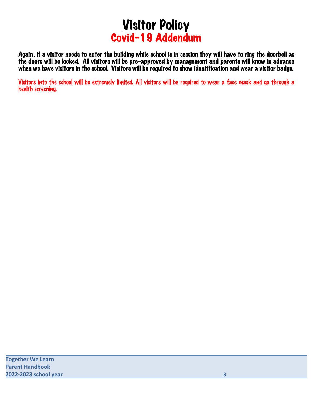

Again, if a visitor needs to enter the building while school is in session they will have to ring the doorbell as the doors will be locked. All visitors will be pre-approved by management and parents will know in advance when we have visitors in the school. Visitors will be required to show identification and wear a visitor badge.

Visitors into the school will be extremely limited. All visitors will be required to wear a face mask and go through a health screening.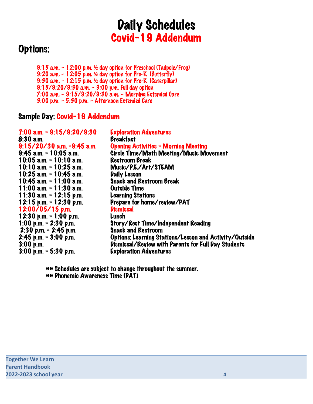# **Daily Schedules** Covid-19 Addendum

## Options:

9:15 a.m. – 12:00 p.m. ½ day option for Preschool (Tadpole/Frog) 9:20 a.m. – 12:05 p.m. ½ day option for Pre-K (Butterfly) 9:30 a.m. – 12:15 p.m. ½ day option for Pre-K (Caterpillar) 9:15/9:20/9:30 a.m. – 3:00 p.m. Full day option 7:00 a.m. – 9:15/9:20/9:30 a.m. – Morning Extended Care 3:00 p.m. – 5:30 p.m. – Afternoon Extended Care

#### Sample Day: Covid-19 Addendum

| 7:00 a.m. - 9:15/9:20/9:30 | <b>Exploration Adventures</b>                          |
|----------------------------|--------------------------------------------------------|
| 8:30 a.m.                  | <b>Breakfast</b>                                       |
| 9:15/20/30 a.m. -9:45 a.m. | <b>Opening Activities - Morning Meeting</b>            |
| 9:45 a.m. - 10:05 a.m.     | Circle Time/Math Meeting/Music Movement                |
| 10:05 a.m. $-$ 10:10 a.m.  | <b>Restroom Break</b>                                  |
| 10:10 a.m. - 10:25 a.m.    | Music/P.E./Art/STEAM                                   |
| 10:25 a.m. - 10:45 a.m.    | <b>Daily Lesson</b>                                    |
| 10:45 a.m. - 11:00 a.m.    | <b>Snack and Restroom Break</b>                        |
| 11:00 a.m. - 11:30 a.m.    | <b>Outside Time</b>                                    |
| 11:30 a.m. - 12:15 p.m.    | <b>Learning Stations</b>                               |
| 12:15 p.m. - 12:30 p.m.    | Prepare for home/review/PAT                            |
| $12:00/05/15$ p.m.         | <b>Dismissal</b>                                       |
| 12:30 p.m. $-$ 1:00 p.m.   | Lunch                                                  |
| 1:00 p.m. $-$ 2:30 p.m.    | <b>Story/Rest Time/Independent Reading</b>             |
| $2:30$ p.m. - $2:45$ p.m.  | <b>Snack and Restroom</b>                              |
| 2:45 p.m. - 3:00 p.m.      | Options: Learning Stations/Lesson and Activity/Outside |
| 3:00 p.m.                  | Dismissal/Review with Parents for Full Day Students    |
| $3:00$ p.m. - 5:30 p.m.    | <b>Exploration Adventures</b>                          |
|                            |                                                        |

\*\* Schedules are subject to change throughout the summer. \*\* Phonemic Awareness Time (PAT)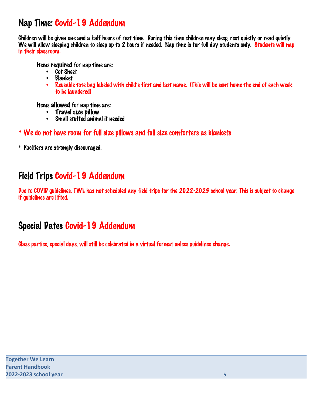### Nap Time: Covid-19 Addendum

Children will be given one and a half hours of rest time. During this time children may sleep, rest quietly or read quietly We will allow sleeping children to sleep up to 2 hours if needed. Nap time is for full day students only. Students will nap in their classroom.

Items required for nap time are:

- Cot Sheet
- Blanket
- Reusable tote bag labeled with child's first and last name. (This will be sent home the end of each week to be laundered)

Items allowed for nap time are:

- Travel size pillow<br>• Small stuffed anima
- Small stuffed animal if needed

\* We do not have room for full size pillows and full size comforters as blankets

\* Pacifiers are strongly discouraged.

## Field Trips Covid-19 Addendum

Due to COVID guidelines, TWL has not scheduled any field trips for the 2022-2023 school year. This is subject to change if guidelines are lifted.

## Special Dates Covid-19 Addendum

Class parties, special days, will still be celebrated in a virtual format unless guidelines change.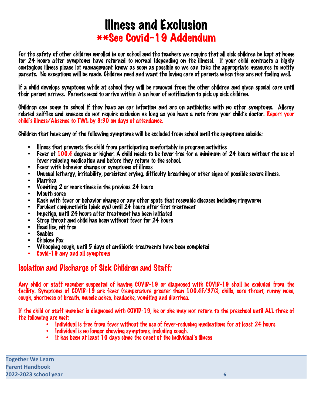# Illness and Exclusion \*\*See Covid-19 Addendum

For the safety of other children enrolled in our school and the teachers we require that all sick children be kept at home for 24 hours after symptoms have returned to normal (depending on the illness). If your child contracts a highly contagious illness please let management know as soon as possible so we can take the appropriate measures to notify parents. No exceptions will be made. Children need and want the loving care of parents when they are not feeling well.

If a child develops symptoms while at school they will be removed from the other children and given special care until their parent arrives. Parents need to arrive within ½ an hour of notification to pick up sick children.

Children can come to school if they have an ear infection and are on antibiotics with no other symptoms. Allergy related sniffles and sneezes do not require exclusion as long as you have a note from your child's doctor. Report your child's illness/Absence to TWL by 9:30 on days of attendance.

Children that have any of the following symptoms will be excluded from school until the symptoms subside:

- Illness that prevents the child from participating comfortably in program activities<br>• Equar of 1004 degrees or bigher A child needs to be fever free for a minimum of
- Fever of 100.4 degrees or higher. A child needs to be fever free for a minimum of 24 hours without the use of fever reducing medication and before they return to the school.
- Fever with behavior change or symptoms of illness
- Unusual lethargy, irritability, persistent crying, difficulty breathing or other signs of possible severe illness.
- Diarrhea
- Vomiting 2 or more times in the previous 24 hours
- Mouth sores
- Rash with fever or behavior change or any other spots that resemble diseases including ringworm
- Purulent conjunctivitis (pink eye) until 24 hours after first treatment
- Impetigo, until 24 hours after treatment has been initiated
- Strep throat and child has been without fever for 24 hours<br>• Head line wit free
- Head lice, nit free
- Scabies
- Chicken Pox
- Whooping cough, until 5 days of antibiotic treatments have been completed
- Covid-19 any and all symptoms

#### Isolation and Discharge of Sick Children and Staff:

Any child or staff member suspected of having COVID-19 or diagnosed with COVID-19 shall be excluded from the facility. Symptoms of COVID-19 are fever (temperature greater than 100.4F/37C), chills, sore throat, runny nose, cough, shortness of breath, muscle aches, headache, vomiting and diarrhea.

If the child or staff member is diagnosed with COVID-19, he or she may not return to the preschool until ALL three of the following are met:

- Individual is free from fever without the use of fever-reducing medications for at least 24 hours
- Individual is no longer showing symptoms, including cough.
- It has been at least 10 days since the onset of the individual's illness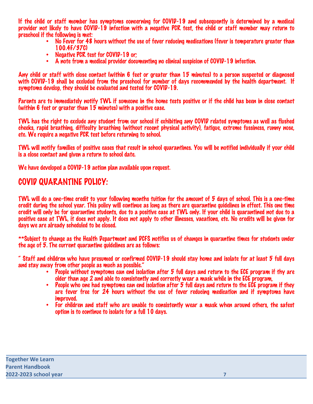If the child or staff member has symptoms concerning for COVID-19 and subsequently is determined by a medical provider not likely to have COVID-19 infection with a negative PCR test, the child or staff member may return to preschool if the following is met:

- No Fever for 48 hours without the use of fever reducing medications (fever is temperature greater than 100.4F/37C)
- Negative PCR test for COVID-19 or:
- A note from a medical provider documenting no clinical suspicion of COVID-19 infection.

Any child or staff with close contact (within 6 feet or greater than 15 minutes) to a person suspected or diagnosed with COVID-19 shall be excluded from the preschool for number of days recommended by the health department. If symptoms develop, they should be evaluated and tested for COVID-19.

Parents are to immediately notify TWL if someone in the home tests positive or if the child has been in close contact (within 6 feet or greater than 15 minutes) with a positive case.

TWL has the right to exclude any student from our school if exhibiting any COVID related symptoms as well as flushed cheeks, rapid breathing, difficulty breathing (without recent physical activity), fatigue, extreme fussiness, runny nose, etc. We require a negative PCR test before returning to school.

TWL will notify families of positive cases that result in school quarantines. You will be notified individually if your child is a close contact and given a return to school date.

We have developed a COVID-19 action plan available upon request.

#### COVID QUARANTINE POLICY:

TWL will do a one-time credit to your following months tuition for the amount of 5 days of school. This is a one-time credit during the school year. This policy will continue as long as there are quarantine guidelines in effect. This one time credit will only be for quarantine students, due to a positive case at TWL only. If your child is quarantined not due to a positive case at TWL, it does not apply. It does not apply to other illnesses, vacations, etc. No credits will be given for days we are already scheduled to be closed.

\*\*Subject to change as the Health Department and DCFS notifies us of changes in quarantine times for students under the age of 5. The current quarantine guidelines are as follows:

" Staff and children who have presumed or confirmed COVID-19 should stay home and isolate for at least 5 full days and stay away from other people as much as possible."

- People without symptoms can end isolation after 5 full days and return to the ECE program if thy are older than age 2 and able to consistently and correctly wear a mask while in the ECE program,
- People who one had symptoms can end isolation after 5 full days and return to the ECE program if they are fever free for 24 hours without the use of fever reducing medication and if symptoms have improved.
- For children and staff who are unable to consistently wear a mask when around others, the safest option is to continue to isolate for a full 10 days.